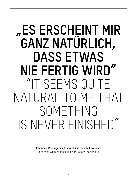# **"Es erscheint mir ganz natürlich, dass etwas nie fertig wird"** "It seems quite natural to me that SOMETHING is never finished"

**Johannes Wieninger im Gespräch mit Tadashi Kawamata** Johannes Wieninger speaks with Tadashi Kawamata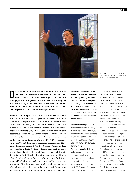

Portrait Tadashi Kawamata im MAK, 2013 Portrait Tadashi Kawamata at MAK, 2013 © MAK/Johannes Wieninger

**D er japanische zeitgenössische Künstler und Architekt Tadashi Kawamata arbeitet zurzeit mit dem MAK-Kurator Johannes Wieninger an der für 2014 geplanten Neugestaltung und Neuaufstellung der Schausammlung Asien des MAK zusammen. Bei einem Besuche in Wien besprachen die beiden kürzlich den Arbeitsprozess und Kawamatas Vorgehensweise.** 

**Johannes Wieninger [JW]***: Wir sind einander zum ersten Mal vor einem Jahr in Paris begegnet. In diesem Jahr haben Sie sehr viele Projekte realisiert, während Sie immer wieder an das MAK-Projekt gedacht haben. Können Sie uns einen kurzen Überblick geben über Ihre Arbeiten in diesem Jahr?* **Tadashi Kawamata [TK]**: Dieses Jahr war ich wirklich sehr beschäftigt. Schon seit 35 Jahren mache ich jährlich an die zehn Projekte, dieses Jahr hatte ich unter anderen eines in der Schweiz, in Ittingen (24. März 2013–2015, Scheiterturm/Log Tower), dann in der Camargue in Frankreich (Horizons, Camargue project 2011–2013, Water Paths), im Parc de la Villette in Paris (Collective Folie), dann auch noch bei der Art Basel (Favela Cafe). Nach Basel ging es nach Toronto (Scotiabank Nuit Blanche, Toronto, Canada) dann Florenz ("Tree Huts" am Palazzo Strozzi im Rahmen von CCC Strozzina) schließlich das Projekt am Place Vendôme (Hors-les-Murs anlässlich der FIAC) in Paris. Aber auch in Japan habe ich viel gearbeitet, dort wurde heuer ein dreijähriges Projekt abgeschlossen, wir hatten eine Art Abschlussfeier und

**Japanese contemporary artist and architect Tadashi Kawamata is currently working with MAK curator Johannes Wieninger on the redesign and reinstallation of the MAK Asia Collection for 2014. On a recent visit to Vienna the two sat down to talk about the working process and Kawamata's practice.**

**Johannes Wieninger [JW]:** *We met for the first time a year ago in Paris. It's a year in which you have realized many projects and meanwhile kept thinking about the MAK project. Can you give us a brief outline of your 2013 working year?*

**Tadashi Kawamata [TK]:** I've really been very busy this year. I've worked each year for 35 years on around ten projects: this year these included one in Switzerland in Ittingen (March 2013–2015 *Scheiterturm/Log Tower),* then a project in the

Camargue in France (Horizons, Camargue project 2011–2013, *Water Paths),* one in the Parc de la Villette in Paris *(Collective Folie),* then another at Art Basel *(Favela Cafe).* After Basel, I moved on to Toronto (Scotiabank *Nuit Blanche,* Toronto, Canada) then Florence *(Tree Huts* at Palazzo Strozzi as part of the CCC Strozzina), finally the project on Place Vendôme (Hors-les-Murs for the FIAC) in Paris. But I also worked on many things in Japan: a three-year project was finalized there; we had a kind of closing party and started dismantling, but two other projects are still underway. Sometimes my projects have a brief life, but they can also last longer than three–four years. And "on the side" I teach at the Beaux-arts *[L'École nationale supérieure des beaux-arts* in Paris], then there are also lectures, symposiums and so forth.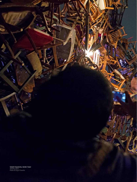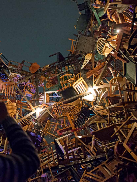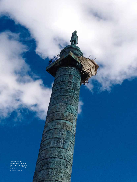Tadashi Kawamata,<br>*Tree Hut,* Place Vendôme<br>(FIAC – Foire internationale<br>d'art contemporain 2013)<br>Paris, 2013<br>© Tadashi Kawamata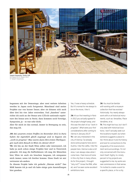

Tadashi Kawamata, *Favela Café*  (Art Basel 2013)/Basel, 2013 © Tadashi Kawamata

begannen mit der Demontage, aber zwei weitere Arbeiten werden in Japan noch fortgesetzt. Manchmal sind meine Projekte nur von kurzer Dauer, aber sie können sich auch über drei bis vier Jahre erstrecken. Und "daneben" unterrichte ich auch an der Beaux-arts (L'École nationale supérieure des beaux-arts in Paris), dazu kommen noch Vorträge, Symposien, ja – es war sehr dicht.

Aber für mich ist das normal, immer in Bewegung zu sein, das mag ich.

**JW:** *Bei unserem ersten Treffen im November 2012 in Paris haben Sie eigentlich gleich zugesagt und es begann ein "work in progress". Was waren dann Ihre ersten Überlegungen nach dem Besuch in Wien im Jänner 2013?*

**TK:** Ich bin an der Stadt Wien selbst sehr interessiert, ich habe ja auch schon einige Projekte hier und in Österreich gemacht. Ich mag die Kaffeehäuser, ich mag die Menschen hier, Wien ist auch ein bisschen langsam, ich entspanne mich immer, wenn ich hierher komme. Diese Stadt ist mir vertrauter als andere.

Zu diesem Projekt habe ich gedacht "Warum nicht?" Das MAK kannte ich ja und ich habe einige gute Ausstellungen hier gesehen.

Yes, it was a heavy schedule. But it's normal for me always to be on the move, I like it.

**JW:** *At our first meeting in Paris in 2012 you actually agreed to the project straight away, and this was the start of our "work in progress". What were your first considerations after coming to Vienna in January 2013?* **TK:** I am very interested in the city of Vienna; I've already done some projects here and in Austria. I like the cafés, I like the people here. Vienna is also a bit slow; I can always relax when I come here. I feel more at home in this city than in many others. As for this project, I thought "why not?" I knew the MAK, after all, and I've seen some excellent exhibitions here.

**JW:** *You must be familiar with working with a museum collection that has evolved historically. You nearly always work with or at historical monuments, such as: Versailles, Place Vendôme, et al.*

**TK:** This might be true, but I don't only deal with historical locations. I don't actually seek out the locations myself, but when someone suggests a place to me I think about it and its history and look for connections to the singularity of its local environment and surroundings. I'm not only concerned with the monument itself. Eighty-to-ninety percent of my projects are suggested to me; my works are real commissions in that sense. I'm invited to create a work for a specific place, or for a city.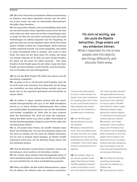#### **INTERVIEW**

**JW:** *Mit einer historisch gewachsenen Museumssammlung zu arbeiten, muss Ihnen eigentlich vertraut sein. Sie arbeiten ja fast immer mit oder an historischen Monumenten: Versailles, Place Vendôme…*

**TK:** Das mag schon stimmen, aber ich beschäftige mich nicht nur mit historischen Orten. Eigentlich suche ich mir die Orte nicht selber aus, aber wenn mir ein Platz vorgeschlagen wird, so denke ich über ihn und seine Geschichte nach und suche Verbindungen zur lokalen Eigenheit und der Umgebung. Es geht mir nicht nur um das Denkmal selbst. 80 bis 90 Prozent meiner Projekte werden mir vorgeschlagen, meine Arbeiten werden regelrecht bestellt. Ich werde eingeladen, eine Arbeit zu einem bestimmten Platz zu machen, oder auch zu einer Stadt, dort kann ich mir dann einen Ort suchen, das hängt von einigen Faktoren ab. Es gibt nur ganz wenige Projekte, bei denen ich mir einen Ort selbst aussuche – aber dann bestelle ich das Projekt quasi bei mir selbst. Sogar das letzte Projekt am Place Vendôme wurde bestellt, auch die Installation in Versailles war eine Auftragsarbeit.

#### **JW:** *So wie das MAK-Projekt. Wir haben den Raum und die Sammlung vorgegeben.*

**TK:** Ja, genau so ist es. Ich brauche auch Vorgaben, ohne die ist es für mich sehr schwierig. Erst dann kann ich die Dinge neu erschaffen, aus dem Auftrag heraus entsteht eine neue Sache, das ist das eigentlich Spannende und Erfreuliche an meiner Arbeit.

**JW:** *Sie haben in Japan studiert, kennen also die ostasiatische Kunstgeschichte sehr gut. In der MAK-Installation kommt es zu einem direkten Nebeneinander Ihrer Arbeit mit traditionellem Kunsthandwerk, das oft sehr detailreich und kostbar ausgeführt ist. Führt dies zu einer anderen Sicht der Sammlung? Für mich als Leiter der Asiensammlung des MAK macht es ja einen großen Unterschied, ob ich die Sammlungsobjekte einfach in eine Vitrine stelle oder mit Kawamata arbeite.*

**TK:** Ja, ich mache keine Vitrine, ich schaffe vielmehr einen Raum und überlege mir, wie man die Sammlung zeigen soll. Für mich ist wichtig, wie die Leute die Objekte betrachten, wie sie sich in meinem Raum bewegen, an diesem Projekt interessiert mich auch, wie die Besucher Dinge anders und neu entdecken können.

#### **JW:** *Und die Besucher werden Neues entdecken, weil sie die Sammlung in einer anderen Art betrachten werden.*

**TK:** Sie werden einen anderen Betrachtungspunkt (point of view) einnehmen müssen. Genau dazu möchte ich sie verführen und natürlich bin ich schon auf Reaktionen gespannt.

**JW:** *Filme und Bilder, die Ihre Arbeit dokumentieren, zeigen Sie nie alleine, Sie arbeiten stets mit anderen zusammen.* 

**Für mich ist wichtig, wie die Leute die Objekte betrachten, Dinge anders und neu entdecken können.** What's important for me is how people view the objects, see things differently and discover them anew.

There are only a few projects for which I chose a location for myself. In any case I commission the resulting project as if it were my own. Even the last project on Place Vendôme was commissioned; also the installation in Versailles was a commission.

**JW:** *Like the MAK project. We specified the room and the collection.*

**TK:** Exactly. I need specifications; I find it very difficult without them. Only then can I create things that are new; ensuring something new comes out of the commission. This is what makes my work so exciting and such a pleasure.

**JW:** *You studied in Japan, so you have an excellent knowledge of East Asian art history. The MAK installation presents a direct confrontation of your work with traditional decorative*  *arts, which are often executed with great detail and are very precious. Does this lead to a different view of the collection? For me as Curator of the MAK Asia Collection, there's a great difference between simply placing the collection objects in a showcase and working with someone else as a mediator.* **TK:** Certainly, I don't make showcases; I tend to create a space, and I think about how the collection can be displayed. What's important for me is how people view the objects, how they move around in my space. Another thing that interests me about this project is how the visitor may see things differently and discovers them anew.

**JW:** *And visitors will discover something new because they view the collection in a different way.* **TK:** They are going to have to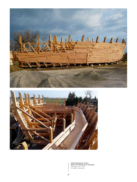

**Tadashi Kawamata***, Horizon,***<br>***Water Paths* **(Musée de la Camargue)<br>Camargue, 2011–2013<br>© Tadashi Kawamata**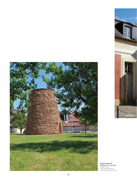



**Tadashi Kawamata<br>***Scheiterturm / Log Tower***<br>|Itingen, 2013<br>Photo: Stefan Rohner<br>© Kunstmuseum Thurgau**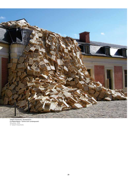

**Tadashi Kawamata***, Gandamaison***<br>(La Maréchalerie – Centre d'art contemporain)<br>Versailles, 2009<br>© Tadashi Kawamata**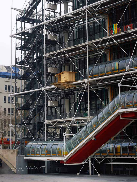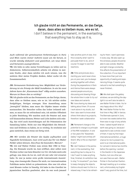## **Ich glaube nicht an das Permanente, an das Ewige, daran, dass alles so bleiben muss, wie es ist.** I don't believe in the permanent, in the everlasting, that everything has to stay as it is.

*Auch während der gemeinsamen Vorbereitungen in Paris und Wien waren immer mehrere Leute um Sie herum, es wurde ständig diskutiert und gezeichnet, um neue Ideen und Varianten auszuprobieren.*

**TK:** Ich liebe es sehr, meine Vorstellungen zu teilen und zu diskutieren. Selbstverständlich arbeite ich alleine in meinem Studio, aber dann möchte ich auch wissen, was die anderen über meine Projekte denken, daher suche ich die Zusammenarbeit.

### **JW:** *Permanente Veränderung bzw. Möglichkeit zur Veränderung ist ein Prinzip der MAK-Installation. In ein bis zwei Jahren kann der "Kawamata-Saal" völlig anders aussehen. Warum ist Ihnen dies so wichtig?*

**TK:** Ich glaube nicht an das Permanente, an das Ewige, daran, dass alles so bleiben muss, wie es ist. Ich möchte nichts Endgültiges, Fertiges erzeugen. Eine Ausstellung muss "beweglich" bleiben, man muss die Objekte immer wieder austauschen. Die Besucher sollen das locker (relaxed) nehmen, es muss für sie erfrischend sein, ich möchte Offenheit in jeder Beziehung. Wir machen auch die Fenster auf, man soll hinaussehen können, Wetter und Licht ändern sich ständig, das wird auch Auswirkungen auf die Präsentation der Sammlung haben. Nicht nur eine Möglichkeit des Betrachtens und Erlebens zu haben, ist so wichtig. Es erscheint mir ganz natürlich, dass etwas nie fertig wird.

#### **JW:** *Wir werden die Fenster des Saales aufmachen und Tageslicht hereinlassen, man wird auch das Tor von Walter Pichler sehen können. Dies freut Sie besonders. Warum?*

**TK:** Ich traf Walter Pichler zum ersten Mal 1982 in Venedig. Die Biennale wurde im Juni eröffnet, aber selbst zwei Wochen vorher war kein Künstler vor Ort. Ich habe mich echt gefragt, was denn da los ist, weil ich mir sehr viel erwartet habe. Es war ja meine erste große internationale Ausstellung, eine riesengroße Chance für mich, vor internationalem Publikum meine Arbeit zu präsentieren. Also war ich schon zwei Monate vorher in Venedig. Ich habe in den Giardini im japanischen Pavillon gearbeitet, aber da war noch jemand

take another point of view. And this is exactly what I want to persuade them to do, and of course I'm eager to see their reactions.

**JW:** *Films and pictures documenting your work never show you on your own; you're always working together with others. During the preparations in Paris and Vienna there were always several people around you, discussing and drawing things the whole time in order to try out new ideas and variants.*

**TK:** I love sharing my ideas and talking about them. Of course I work alone in my studio, but then I also want to know what others think about my projects, therefore I seek collaboration

**JW:** *Permanent change or the potential to change is a principle of the MAK installation. In one or two years the "Kawamata Gallery" might look entirely different. Why is this so important to you?*

**TK:** I don't believe in the permanent, in the everlasting, that everything has to stay as it is. I don't want to make anything final, finished. An exhibition has to stay "in movement"; you have to keep changing the objects. Visitors should react to this in a relaxed way; it has to be refreshing for them. I want openness in every way. We also open up the windows; people should be able to see outside. Weather and light change constantly; this affects the presentation of the collection. It's so important to have more than just one opportunity of seeing and experiencing things. It seems quite natural to me that something is never finished…

**JW:** *We shall open the gallery windows; we are letting the daylight in so we'll also be able to see Walter Pichler's* Gate. *You're very happy about this. Why?* **TK:** I met Walter Pichler for the first time in May 1982 in Venice. The Biennale opened in June, but even two weeks before this there was no sign of any artists there. I asked myself what on earth was going on, because I expected to see a whole crowd of them. It was my first major international exhibition, a huge chance for me to present my work to an international public. So I arrived in Venice two months before the opening. I worked in the Giardini in the Japanese Pavilion, but one other person was there as well—Walter Pichler in the Austrian Pavilion. We kept meeting up in a restaurant; unfortunately my English wasn't very good at the time, but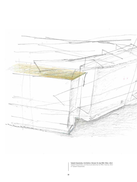

Tadashi Kawamata, Architektur-Skizzen für das MAK/Wien, 2013 Tadashi Kawamata, architectural sketches for MAK/ Vienna, 2013 © Tadashi Kawamata